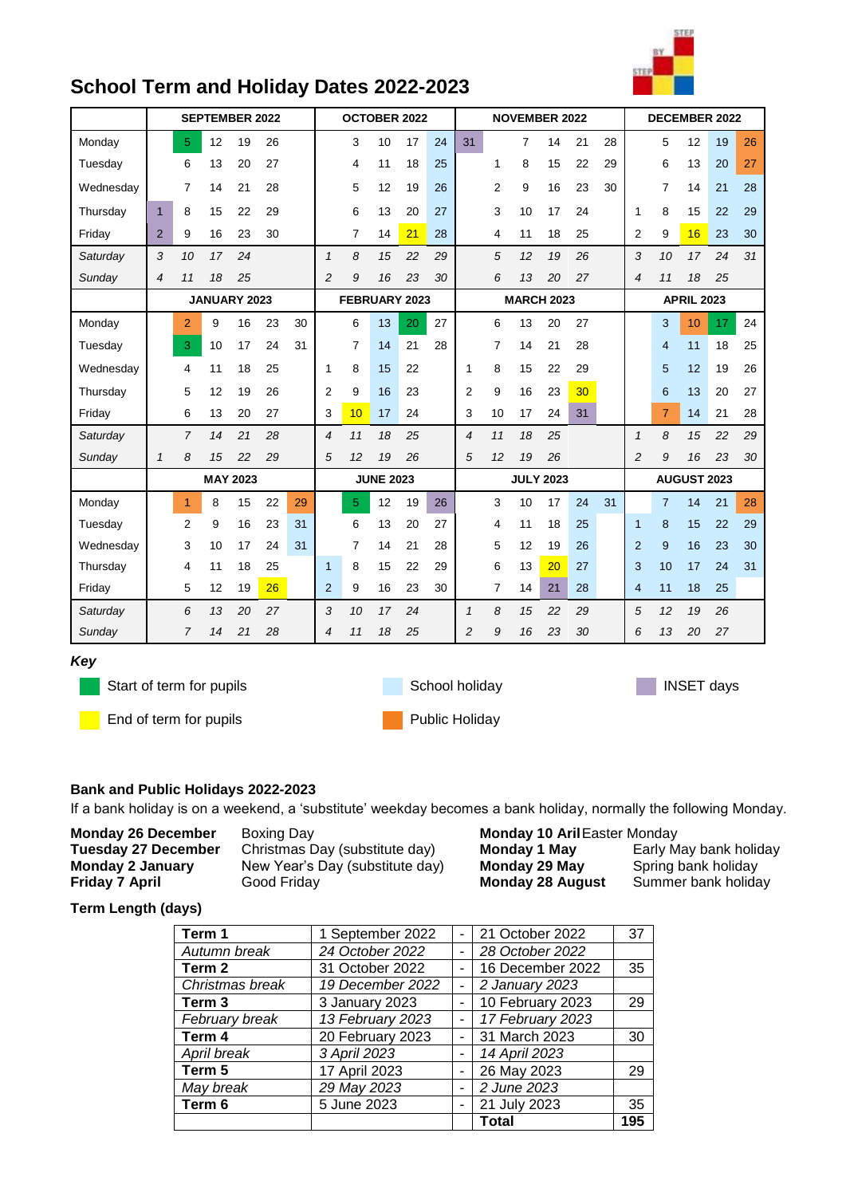|                 | ì |    |
|-----------------|---|----|
| $\ddot{ }$<br>÷ |   | ٠  |
|                 |   | e. |
|                 |   |    |

## **School Term and Holiday Dates 2022-2023**

|           |              | OCTOBER 2022<br><b>SEPTEMBER 2022</b> |    |                 |    |               |                  | <b>NOVEMBER 2022</b> |                   |                  |    |                |                | <b>DECEMBER 2022</b> |             |                 |    |                |                |    |    |    |
|-----------|--------------|---------------------------------------|----|-----------------|----|---------------|------------------|----------------------|-------------------|------------------|----|----------------|----------------|----------------------|-------------|-----------------|----|----------------|----------------|----|----|----|
| Monday    |              | 5 <sup>5</sup>                        | 12 | 19              | 26 |               |                  | 3                    | 10                | 17               | 24 | 31             |                | $\overline{7}$       | 14          | 21              | 28 |                | 5              | 12 | 19 | 26 |
| Tuesday   |              | 6                                     | 13 | 20              | 27 |               |                  | 4                    | 11                | 18               | 25 |                | 1              | 8                    | 15          | 22              | 29 |                | 6              | 13 | 20 | 27 |
| Wednesday |              | 7                                     | 14 | 21              | 28 |               |                  | 5                    | 12                | 19               | 26 |                | 2              | 9                    | 16          | 23              | 30 |                | $\overline{7}$ | 14 | 21 | 28 |
| Thursday  | $\mathbf{1}$ | 8                                     | 15 | 22              | 29 |               |                  | 6                    | 13                | 20               | 27 |                | 3              | 10                   | 17          | 24              |    | 1              | 8              | 15 | 22 | 29 |
| Friday    | 2            | 9                                     | 16 | 23              | 30 |               |                  | 7                    | 14                | 21               | 28 |                | 4              | 11                   | 18          | 25              |    | $\overline{2}$ | 9              | 16 | 23 | 30 |
| Saturday  | 3            | 10                                    | 17 | 24              |    |               | $\mathbf{1}$     | 8                    | 15                | 22               | 29 |                | 5              | 12                   | 19          | 26              |    | 3              | 10             | 17 | 24 | 31 |
| Sunday    | 4            | 11                                    | 18 | 25              |    |               | $\overline{c}$   | 9                    | 16                | 23               | 30 |                | 6              | 13                   | 20          | 27              |    | $\overline{4}$ | 11             | 18 | 25 |    |
|           |              |                                       |    | JANUARY 2023    |    | FEBRUARY 2023 |                  |                      | <b>MARCH 2023</b> |                  |    |                |                | <b>APRIL 2023</b>    |             |                 |    |                |                |    |    |    |
| Monday    |              | $\overline{2}$                        | 9  | 16              | 23 | 30            |                  | 6                    | 13                | 20               | 27 |                | 6              | 13                   | 20          | 27              |    |                | 3              | 10 | 17 | 24 |
| Tuesday   |              | 3                                     | 10 | 17              | 24 | 31            |                  | 7                    | 14                | 21               | 28 |                | $\overline{7}$ | 14                   | 21          | 28              |    |                | $\overline{4}$ | 11 | 18 | 25 |
| Wednesday |              | 4                                     | 11 | 18              | 25 |               | 1                | 8                    | 15                | 22               |    | 1              | 8              | 15                   | 22          | 29              |    |                | 5              | 12 | 19 | 26 |
| Thursday  |              | 5                                     | 12 | 19              | 26 |               | $\overline{2}$   | 9                    | 16                | 23               |    | 2              | 9              | 16                   | 23          | 30 <sub>o</sub> |    |                | 6              | 13 | 20 | 27 |
| Friday    |              | 6                                     | 13 | 20              | 27 |               | 3                | 10                   | 17                | 24               |    | 3              | 10             | 17                   | 24          | 31              |    |                | $\overline{7}$ | 14 | 21 | 28 |
| Saturday  |              | 7                                     | 14 | 21              | 28 |               | $\overline{4}$   | 11                   | 18                | 25               |    | 4              | 11             | 18                   | 25          |                 |    | $\mathbf{1}$   | 8              | 15 | 22 | 29 |
| Sunday    | $\mathcal I$ | 8                                     | 15 | 22              | 29 |               | 5                | 12                   | 19                | 26               |    | 5              | 12             | 19                   | 26          |                 |    | $\overline{2}$ | 9              | 16 | 23 | 30 |
|           |              |                                       |    | <b>MAY 2023</b> |    |               | <b>JUNE 2023</b> |                      |                   | <b>JULY 2023</b> |    |                |                |                      | AUGUST 2023 |                 |    |                |                |    |    |    |
| Monday    |              | $\overline{1}$                        | 8  | 15              | 22 | 29            |                  | 5                    | 12                | 19               | 26 |                | 3              | 10                   | 17          | 24              | 31 |                | $\overline{7}$ | 14 | 21 | 28 |
| Tuesday   |              | $\overline{2}$                        | 9  | 16              | 23 | 31            |                  | 6                    | 13                | 20               | 27 |                | 4              | 11                   | 18          | 25              |    | $\mathbf{1}$   | 8              | 15 | 22 | 29 |
| Wednesday |              | 3                                     | 10 | 17              | 24 | 31            |                  | 7                    | 14                | 21               | 28 |                | 5              | 12                   | 19          | 26              |    | $\overline{2}$ | 9              | 16 | 23 | 30 |
| Thursday  |              | 4                                     | 11 | 18              | 25 |               | $\mathbf{1}$     | 8                    | 15                | 22               | 29 |                | 6              | 13                   | 20          | 27              |    | 3              | 10             | 17 | 24 | 31 |
| Friday    |              | 5                                     | 12 | 19              | 26 |               | $\overline{2}$   | 9                    | 16                | 23               | 30 |                | 7              | 14                   | 21          | 28              |    | $\overline{4}$ | 11             | 18 | 25 |    |
| Saturday  |              | 6                                     | 13 | 20              | 27 |               | 3                | 10                   | 17                | 24               |    | $\mathbf{1}$   | 8              | 15                   | 22          | 29              |    | 5              | 12             | 19 | 26 |    |
| Sunday    |              | 7                                     | 14 | 21              | 28 |               | 4                | 11                   | 18                | 25               |    | $\overline{c}$ | 9              | 16                   | 23          | 30              |    | 6              | 13             | 20 | 27 |    |
| Key       |              |                                       |    |                 |    |               |                  |                      |                   |                  |    |                |                |                      |             |                 |    |                |                |    |    |    |

Start of term for pupils **INSET days** School holiday **INSET days** 

**End of term for pupils Public Holiday** 

## **Bank and Public Holidays 2022-2023**

If a bank holiday is on a weekend, a 'substitute' weekday becomes a bank holiday, normally the following Monday.

| <b>Monday 26 December</b>  | Boxing Day                    |
|----------------------------|-------------------------------|
| <b>Tuesday 27 December</b> | Christmas Day (substitute day |
| Monday 2 January           | New Year's Day (substitute da |
| <b>Friday 7 April</b>      | Good Friday                   |

**Monday 10 Aril** Easter Monday **Tuesday 27 December** Christmas Day (substitute day) **Monday 1 May** Early May bank holiday Ay) **Monday 29 May** Spring bank holiday<br>**Monday 28 August** Summer bank holiday **Monday 28 August** 

## **Term Length (days)**

| Term 1          | 1 September 2022 |   | 21 October 2022  | 37  |
|-----------------|------------------|---|------------------|-----|
| Autumn break    | 24 October 2022  |   | 28 October 2022  |     |
| Term 2          | 31 October 2022  |   | 16 December 2022 | 35  |
| Christmas break | 19 December 2022 |   | 2 January 2023   |     |
| Term 3          | 3 January 2023   |   | 10 February 2023 | 29  |
| February break  | 13 February 2023 |   | 17 February 2023 |     |
| Term 4          | 20 February 2023 |   | 31 March 2023    | 30  |
| April break     | 3 April 2023     |   | 14 April 2023    |     |
| Term 5          | 17 April 2023    |   | 26 May 2023      | 29  |
| May break       | 29 May 2023      | ۰ | 2 June 2023      |     |
| Term 6          | 5 June 2023      |   | 21 July 2023     | 35  |
|                 |                  |   | <b>Total</b>     | 195 |